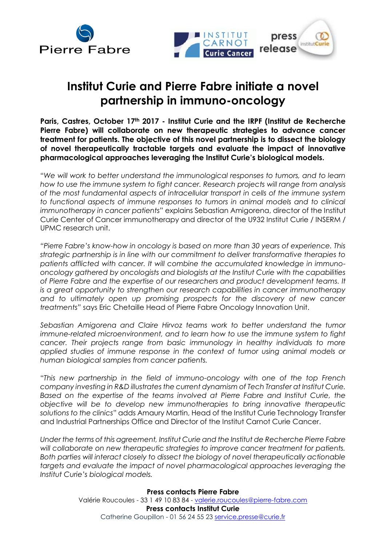



## **Institut Curie and Pierre Fabre initiate a novel partnership in immuno-oncology**

**Paris, Castres, October 17th 2017 - Institut Curie and the IRPF (Institut de Recherche Pierre Fabre) will collaborate on new therapeutic strategies to advance cancer treatment for patients. The objective of this novel partnership is to dissect the biology of novel therapeutically tractable targets and evaluate the impact of innovative pharmacological approaches leveraging the Institut Curie's biological models.** 

"*We will work to better understand the immunological responses to tumors, and to learn how to use the immune system to fight cancer. Research projects will range from analysis of the most fundamental aspects of intracellular transport in cells of the immune system to functional aspects of immune responses to tumors in animal models and to clinical immunotherapy in cancer patients*" explains Sebastian Amigorena, director of the Institut Curie Center of Cancer immunotherapy and director of the U932 Institut Curie / INSERM / UPMC research unit.

*"Pierre Fabre's know-how in oncology is based on more than 30 years of experience. This strategic partnership is in line with our commitment to deliver transformative therapies to patients afflicted with cancer. It will combine the accumulated knowledge in immunooncology gathered by oncologists and biologists at the Institut Curie with the capabilities of Pierre Fabre and the expertise of our researchers and product development teams. It is a great opportunity to strengthen our research capabilities in cancer immunotherapy*  and to ultimately open up promising prospects for the discovery of new cancer *treatments"* says Eric Chetaille Head of Pierre Fabre Oncology Innovation Unit.

*Sebastian Amigorena and Claire Hirvoz teams work to better understand the tumor immune-related microenvironment, and to learn how to use the immune system to fight cancer. Their projects range from basic immunology in healthy individuals to more applied studies of immune response in the context of tumor using animal models or human biological samples from cancer patients.* 

"*This new partnership in the field of immuno-oncology with one of the top French company investing in R&D illustrates the current dynamism of Tech Transfer at Institut Curie. Based on the expertise of the teams involved at Pierre Fabre and Institut Curie, the objective will be to develop new immunotherapies to bring innovative therapeutic solutions to the clinics*" adds Amaury Martin, Head of the Institut Curie Technology Transfer and Industrial Partnerships Office and Director of the Institut Carnot Curie Cancer.

*Under the terms of this agreement, Institut Curie and the Institut de Recherche Pierre Fabre will collaborate on new therapeutic strategies to improve cancer treatment for patients. Both parties will interact closely to dissect the biology of novel therapeutically actionable*  targets and evaluate the impact of novel pharmacological approaches leveraging the *Institut Curie's biological models.*

> **Press contacts Pierre Fabre** Valérie Roucoules - 33 1 49 10 83 84 - [valerie.roucoules@pierre-fabre.com](mailto:valerie.roucoules@pierre-fabre.com) **Press contacts Institut Curie**  Catherine Goupillon - 01 56 24 55 23 [service.presse@curie.fr](mailto:service.presse@curie.fr)